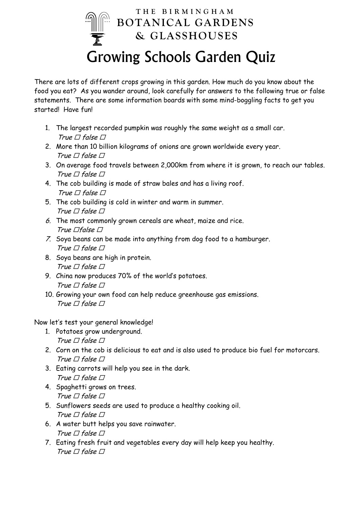## **THE BIRMINGHAM BOTANICAL GARDENS & GLASSHOUSES**  Growing Schools Garden Quiz

There are lots of different crops growing in this garden. How much do you know about the food you eat? As you wander around, look carefully for answers to the following true or false statements. There are some information boards with some mind-boggling facts to get you started! Have fun!

- 1. The largest recorded pumpkin was roughly the same weight as a small car. True  $\Box$  false  $\Box$
- 2. More than 10 billion kilograms of onions are grown worldwide every year. True  $\Box$  false  $\Box$
- 3. On average food travels between 2,000km from where it is grown, to reach our tables. True  $\Box$  false  $\Box$
- 4. The cob building is made of straw bales and has a living roof. True  $\Box$  false  $\Box$
- 5. The cob building is cold in winter and warm in summer. True  $\Box$  false  $\Box$
- 6. The most commonly grown cereals are wheat, maize and rice. True  $\Box$ false  $\Box$
- 7. Soya beans can be made into anything from dog food to a hamburger. True  $\Box$  false  $\Box$
- 8. Soya beans are high in protein. True  $\Box$  false  $\Box$
- 9. China now produces 70% of the world's potatoes. True  $\Box$  false  $\Box$
- 10. Growing your own food can help reduce greenhouse gas emissions. True  $\Box$  false  $\Box$

Now let's test your general knowledge!

- 1. Potatoes grow underground. True  $\Box$  false  $\Box$
- 2. Corn on the cob is delicious to eat and is also used to produce bio fuel for motorcars. True  $\Box$  false  $\Box$
- 3. Eating carrots will help you see in the dark. True  $\Box$  false  $\Box$
- 4. Spaghetti grows on trees. True  $\Box$  false  $\Box$
- 5. Sunflowers seeds are used to produce a healthy cooking oil. True  $\Box$  false  $\Box$
- 6. A water butt helps you save rainwater. True  $\Box$  false  $\Box$
- 7. Eating fresh fruit and vegetables every day will help keep you healthy. True  $\Box$  false  $\Box$